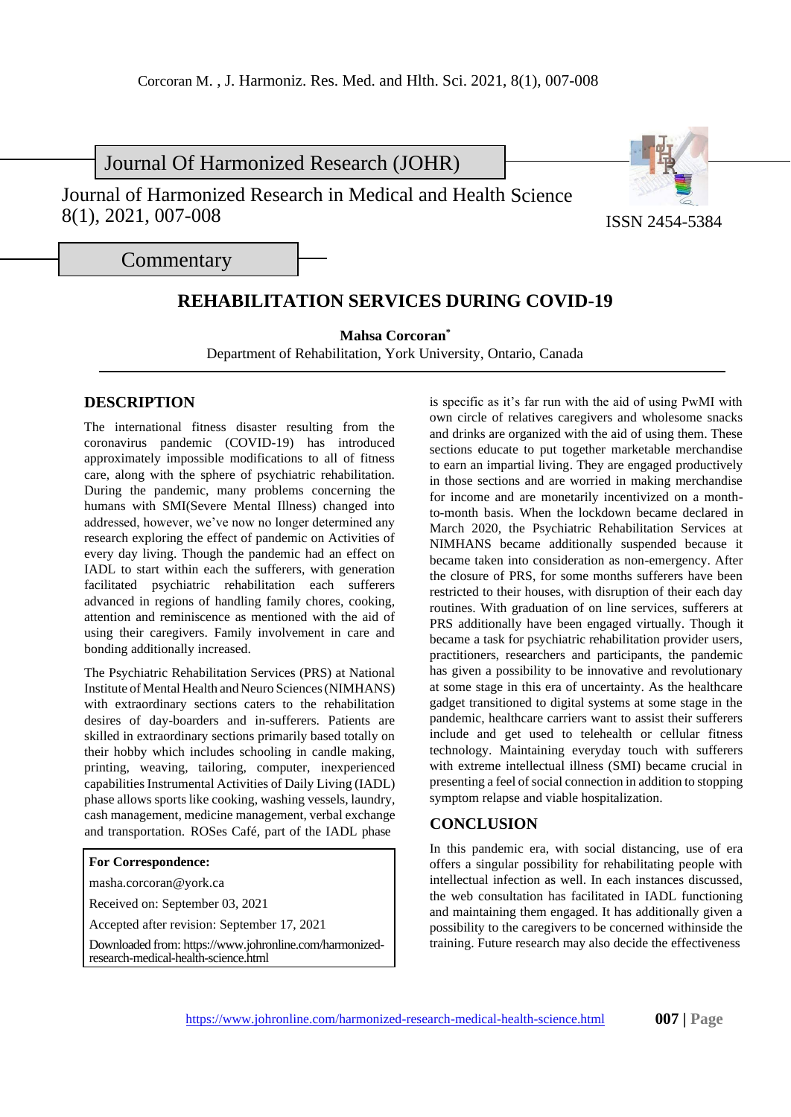Journal Of Harmonized Research (JOHR)

Journal of Harmonized Research in Medical and Health Science 8(1), 2021, 007-008 ISSN 2454-5384



**Commentary** 

## **REHABILITATION SERVICES DURING COVID-19**

**Mahsa Corcoran\***

Department of Rehabilitation, York University, Ontario, Canada

## **DESCRIPTION**

The international fitness disaster resulting from the coronavirus pandemic (COVID-19) has introduced approximately impossible modifications to all of fitness care, along with the sphere of psychiatric rehabilitation. During the pandemic, many problems concerning the humans with SMI(Severe Mental Illness) changed into addressed, however, we've now no longer determined any research exploring the effect of pandemic on Activities of every day living. Though the pandemic had an effect on IADL to start within each the sufferers, with generation facilitated psychiatric rehabilitation each sufferers advanced in regions of handling family chores, cooking, attention and reminiscence as mentioned with the aid of using their caregivers. Family involvement in care and bonding additionally increased.

The Psychiatric Rehabilitation Services (PRS) at National Institute of Mental Health and Neuro Sciences (NIMHANS) with extraordinary sections caters to the rehabilitation desires of day-boarders and in-sufferers. Patients are skilled in extraordinary sections primarily based totally on their hobby which includes schooling in candle making, printing, weaving, tailoring, computer, inexperienced capabilities Instrumental Activities of Daily Living (IADL) phase allows sports like cooking, washing vessels, laundry, cash management, medicine management, verbal exchange and transportation. ROSes Café, part of the IADL phase

## **For Correspondence:**

[masha.corcoran@york.ca](mailto:masha.corcoran@york.ca)

Received on: September 03, 2021

Accepted after revision: September 17, 2021

Downloaded from[: https://www.johronline.com/harmonized](http://www.johronline.com/harmonized-)research-medical-health-science.html

is specific as it's far run with the aid of using PwMI with own circle of relatives caregivers and wholesome snacks and drinks are organized with the aid of using them. These sections educate to put together marketable merchandise to earn an impartial living. They are engaged productively in those sections and are worried in making merchandise for income and are monetarily incentivized on a monthto-month basis. When the lockdown became declared in March 2020, the Psychiatric Rehabilitation Services at NIMHANS became additionally suspended because it became taken into consideration as non-emergency. After the closure of PRS, for some months sufferers have been restricted to their houses, with disruption of their each day routines. With graduation of on line services, sufferers at PRS additionally have been engaged virtually. Though it became a task for psychiatric rehabilitation provider users, practitioners, researchers and participants, the pandemic has given a possibility to be innovative and revolutionary at some stage in this era of uncertainty. As the healthcare gadget transitioned to digital systems at some stage in the pandemic, healthcare carriers want to assist their sufferers include and get used to telehealth or cellular fitness technology. Maintaining everyday touch with sufferers with extreme intellectual illness (SMI) became crucial in presenting a feel of social connection in addition to stopping symptom relapse and viable hospitalization.

## **CONCLUSION**

In this pandemic era, with social distancing, use of era offers a singular possibility for rehabilitating people with intellectual infection as well. In each instances discussed, the web consultation has facilitated in IADL functioning and maintaining them engaged. It has additionally given a possibility to the caregivers to be concerned withinside the training. Future research may also decide the effectiveness